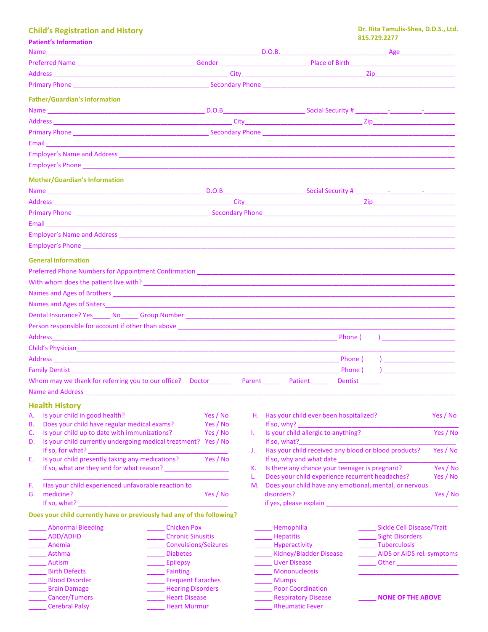## **Child's Registration and History**

**Patient's Information**

\_\_\_\_\_ Cerebral Palsy

|          | Name Age Accounts Age Age Accounts Age Accounts Age Age Accounts Age Age Accounts Age Age Age Accounts Age Age                                                                                                                                |                             |    |                                                        |                                                         |          |
|----------|-----------------------------------------------------------------------------------------------------------------------------------------------------------------------------------------------------------------------------------------------|-----------------------------|----|--------------------------------------------------------|---------------------------------------------------------|----------|
|          |                                                                                                                                                                                                                                               |                             |    |                                                        |                                                         |          |
|          |                                                                                                                                                                                                                                               |                             |    |                                                        |                                                         |          |
|          |                                                                                                                                                                                                                                               |                             |    |                                                        |                                                         |          |
|          |                                                                                                                                                                                                                                               |                             |    |                                                        |                                                         |          |
|          | <b>Father/Guardian's Information</b>                                                                                                                                                                                                          |                             |    |                                                        |                                                         |          |
|          |                                                                                                                                                                                                                                               |                             |    |                                                        |                                                         |          |
|          |                                                                                                                                                                                                                                               |                             |    |                                                        |                                                         |          |
|          |                                                                                                                                                                                                                                               |                             |    |                                                        |                                                         |          |
|          |                                                                                                                                                                                                                                               |                             |    |                                                        |                                                         |          |
|          |                                                                                                                                                                                                                                               |                             |    |                                                        |                                                         |          |
|          |                                                                                                                                                                                                                                               |                             |    |                                                        |                                                         |          |
|          |                                                                                                                                                                                                                                               |                             |    |                                                        |                                                         |          |
|          | <b>Mother/Guardian's Information</b>                                                                                                                                                                                                          |                             |    |                                                        |                                                         |          |
|          |                                                                                                                                                                                                                                               |                             |    |                                                        |                                                         |          |
|          |                                                                                                                                                                                                                                               |                             |    |                                                        |                                                         |          |
|          |                                                                                                                                                                                                                                               |                             |    |                                                        |                                                         |          |
|          |                                                                                                                                                                                                                                               |                             |    |                                                        |                                                         |          |
|          |                                                                                                                                                                                                                                               |                             |    |                                                        |                                                         |          |
|          | Employer's Phone <b>Employer's Phone</b>                                                                                                                                                                                                      |                             |    |                                                        |                                                         |          |
|          |                                                                                                                                                                                                                                               |                             |    |                                                        |                                                         |          |
|          | <b>General Information</b>                                                                                                                                                                                                                    |                             |    |                                                        |                                                         |          |
|          |                                                                                                                                                                                                                                               |                             |    |                                                        |                                                         |          |
|          |                                                                                                                                                                                                                                               |                             |    |                                                        |                                                         |          |
|          |                                                                                                                                                                                                                                               |                             |    |                                                        |                                                         |          |
|          |                                                                                                                                                                                                                                               |                             |    |                                                        |                                                         |          |
|          |                                                                                                                                                                                                                                               |                             |    |                                                        |                                                         |          |
|          |                                                                                                                                                                                                                                               |                             |    |                                                        |                                                         |          |
|          |                                                                                                                                                                                                                                               |                             |    |                                                        | $\mathbf{r}$                                            |          |
|          |                                                                                                                                                                                                                                               |                             |    |                                                        |                                                         |          |
|          |                                                                                                                                                                                                                                               |                             |    | Phone (                                                | $\overline{a}$                                          |          |
|          |                                                                                                                                                                                                                                               |                             |    | Phone (                                                | $\mathbf{I}$                                            |          |
|          | Whom may we thank for referring you to our office? Doctor__________ Parent________ Patient______                                                                                                                                              |                             |    | <b>Dentist</b>                                         |                                                         |          |
|          |                                                                                                                                                                                                                                               |                             |    |                                                        |                                                         |          |
|          |                                                                                                                                                                                                                                               |                             |    |                                                        |                                                         |          |
|          | <b>Health History Manufacturers</b>                                                                                                                                                                                                           |                             |    |                                                        |                                                         |          |
| А.       | Is your child in good health?                                                                                                                                                                                                                 | Yes / No                    |    | H. Has your child ever been hospitalized?              |                                                         | Yes / No |
| В.<br>C. | Does your child have regular medical exams?<br>Is your child up to date with immunizations?                                                                                                                                                   | Yes / No<br>Yes / No        | L. | Is your child allergic to anything?                    |                                                         | Yes / No |
| D.       | Is your child currently undergoing medical treatment? Yes / No                                                                                                                                                                                |                             |    | If so, what?                                           |                                                         |          |
|          | If so, for what? $\sqrt{ }$                                                                                                                                                                                                                   |                             | J. | Has your child received any blood or blood products?   |                                                         | Yes / No |
| Е.       | Is your child presently taking any medications?                                                                                                                                                                                               | Yes / No                    |    |                                                        |                                                         |          |
|          | If so, what are they and for what reason?                                                                                                                                                                                                     |                             | К. | Is there any chance your teenager is pregnant?         |                                                         | Yes / No |
|          |                                                                                                                                                                                                                                               |                             | L. | Does your child experience recurrent headaches?        |                                                         | Yes / No |
| F.       | Has your child experienced unfavorable reaction to                                                                                                                                                                                            |                             | M. | Does your child have any emotional, mental, or nervous |                                                         |          |
| G.       | medicine?<br>If so, what? $\frac{1}{2}$ is the set of the set of the set of the set of the set of the set of the set of the set of the set of the set of the set of the set of the set of the set of the set of the set of the set of the set | Yes / No                    |    | disorders?                                             |                                                         | Yes / No |
|          |                                                                                                                                                                                                                                               |                             |    |                                                        |                                                         |          |
|          | Does your child currently have or previously had any of the following?                                                                                                                                                                        |                             |    |                                                        |                                                         |          |
|          | <b>Abnormal Bleeding</b>                                                                                                                                                                                                                      | <b>Chicken Pox</b>          |    | Hemophilia                                             | Sickle Cell Disease/Trait                               |          |
|          | ADD/ADHD                                                                                                                                                                                                                                      | <b>Chronic Sinusitis</b>    |    | <b>Hepatitis</b>                                       | ______ Sight Disorders                                  |          |
|          | Anemia                                                                                                                                                                                                                                        | <b>Convulsions/Seizures</b> |    | Hyperactivity                                          | ______ Tuberculosis                                     |          |
|          | Asthma<br>Autism                                                                                                                                                                                                                              | <b>Diabetes</b><br>Epilepsy |    | Kidney/Bladder Disease<br><b>Liver Disease</b>         | AIDS or AIDS rel. symptoms<br>Other ___________________ |          |
|          | <b>Birth Defects</b>                                                                                                                                                                                                                          | Fainting                    |    | Mononucleosis                                          |                                                         |          |
|          | <b>Blood Disorder</b>                                                                                                                                                                                                                         | <b>Frequent Earaches</b>    |    | Mumps                                                  |                                                         |          |
|          | <b>Brain Damage</b>                                                                                                                                                                                                                           | <b>Hearing Disorders</b>    |    | <b>Poor Coordination</b>                               |                                                         |          |
|          | Cancer/Tumors                                                                                                                                                                                                                                 | <b>Heart Disease</b>        |    | <b>Respiratory Disease</b>                             | <b>NONE OF THE ABOVE</b>                                |          |

\_\_\_\_\_ Heart Murmur

**\_\_\_\_\_\_** Rheumatic Fever